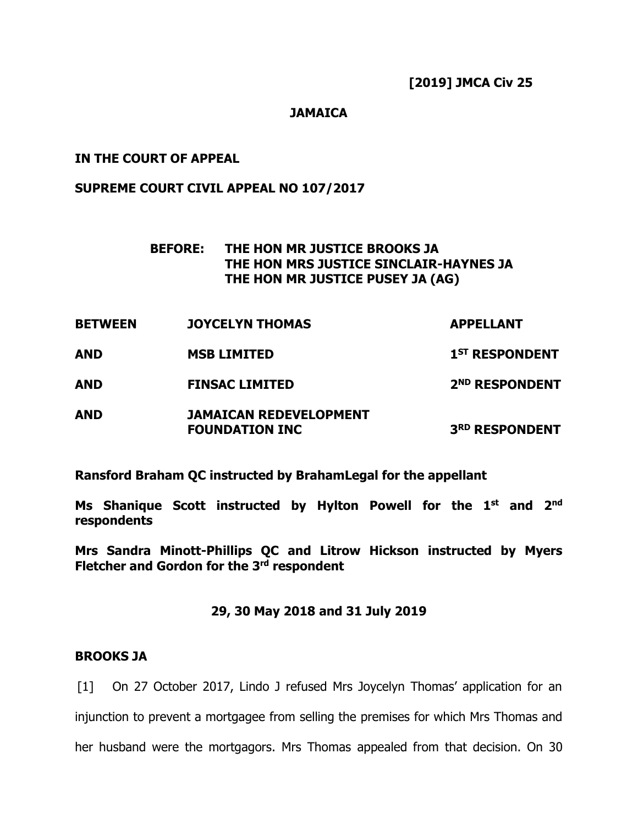### **JAMAICA**

### **IN THE COURT OF APPEAL**

#### **SUPREME COURT CIVIL APPEAL NO 107/2017**

## **BEFORE: THE HON MR JUSTICE BROOKS JA THE HON MRS JUSTICE SINCLAIR-HAYNES JA THE HON MR JUSTICE PUSEY JA (AG)**

**BETWEEN JOYCELYN THOMAS APPELLANT AND MSB LIMITED 1 ST RESPONDENT AND FINSAC LIMITED 2 ND RESPONDENT AND JAMAICAN REDEVELOPMENT FOUNDATION INC 3 RD RESPONDENT**

**Ransford Braham QC instructed by BrahamLegal for the appellant**

**Ms Shanique Scott instructed by Hylton Powell for the 1 st and 2nd respondents**

**Mrs Sandra Minott-Phillips QC and Litrow Hickson instructed by Myers Fletcher and Gordon for the 3 rd respondent**

#### **29, 30 May 2018 and 31 July 2019**

#### **BROOKS JA**

[1] On 27 October 2017, Lindo J refused Mrs Joycelyn Thomas' application for an injunction to prevent a mortgagee from selling the premises for which Mrs Thomas and her husband were the mortgagors. Mrs Thomas appealed from that decision. On 30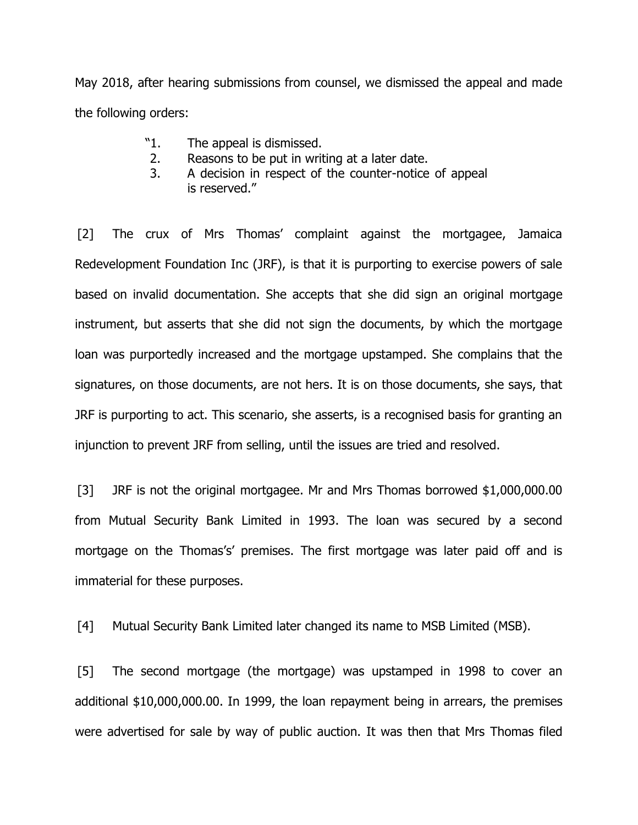May 2018, after hearing submissions from counsel, we dismissed the appeal and made the following orders:

- "1. The appeal is dismissed.
- 2. Reasons to be put in writing at a later date.
- 3. A decision in respect of the counter-notice of appeal is reserved."

[2] The crux of Mrs Thomas' complaint against the mortgagee, Jamaica Redevelopment Foundation Inc (JRF), is that it is purporting to exercise powers of sale based on invalid documentation. She accepts that she did sign an original mortgage instrument, but asserts that she did not sign the documents, by which the mortgage loan was purportedly increased and the mortgage upstamped. She complains that the signatures, on those documents, are not hers. It is on those documents, she says, that JRF is purporting to act. This scenario, she asserts, is a recognised basis for granting an injunction to prevent JRF from selling, until the issues are tried and resolved.

[3] JRF is not the original mortgagee. Mr and Mrs Thomas borrowed \$1,000,000.00 from Mutual Security Bank Limited in 1993. The loan was secured by a second mortgage on the Thomas's' premises. The first mortgage was later paid off and is immaterial for these purposes.

[4] Mutual Security Bank Limited later changed its name to MSB Limited (MSB).

[5] The second mortgage (the mortgage) was upstamped in 1998 to cover an additional \$10,000,000.00. In 1999, the loan repayment being in arrears, the premises were advertised for sale by way of public auction. It was then that Mrs Thomas filed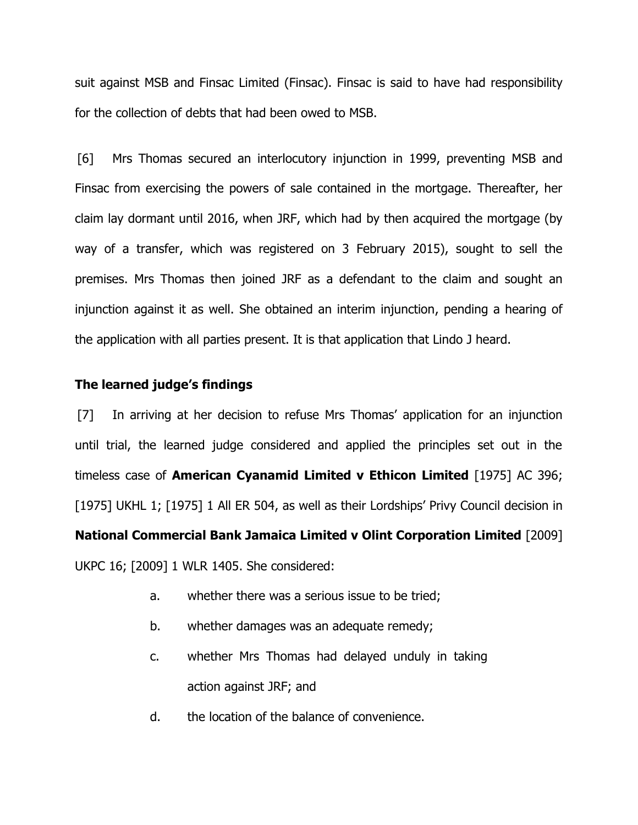suit against MSB and Finsac Limited (Finsac). Finsac is said to have had responsibility for the collection of debts that had been owed to MSB.

[6] Mrs Thomas secured an interlocutory injunction in 1999, preventing MSB and Finsac from exercising the powers of sale contained in the mortgage. Thereafter, her claim lay dormant until 2016, when JRF, which had by then acquired the mortgage (by way of a transfer, which was registered on 3 February 2015), sought to sell the premises. Mrs Thomas then joined JRF as a defendant to the claim and sought an injunction against it as well. She obtained an interim injunction, pending a hearing of the application with all parties present. It is that application that Lindo J heard.

## **The learned judge's findings**

[7] In arriving at her decision to refuse Mrs Thomas' application for an injunction until trial, the learned judge considered and applied the principles set out in the timeless case of **American Cyanamid Limited v Ethicon Limited** [1975] AC 396; [1975] UKHL 1; [1975] 1 All ER 504, as well as their Lordships' Privy Council decision in **National Commercial Bank Jamaica Limited v Olint Corporation Limited** [2009] UKPC 16; [2009] 1 WLR 1405. She considered:

- a. whether there was a serious issue to be tried;
- b. whether damages was an adequate remedy;
- c. whether Mrs Thomas had delayed unduly in taking action against JRF; and
- d. the location of the balance of convenience.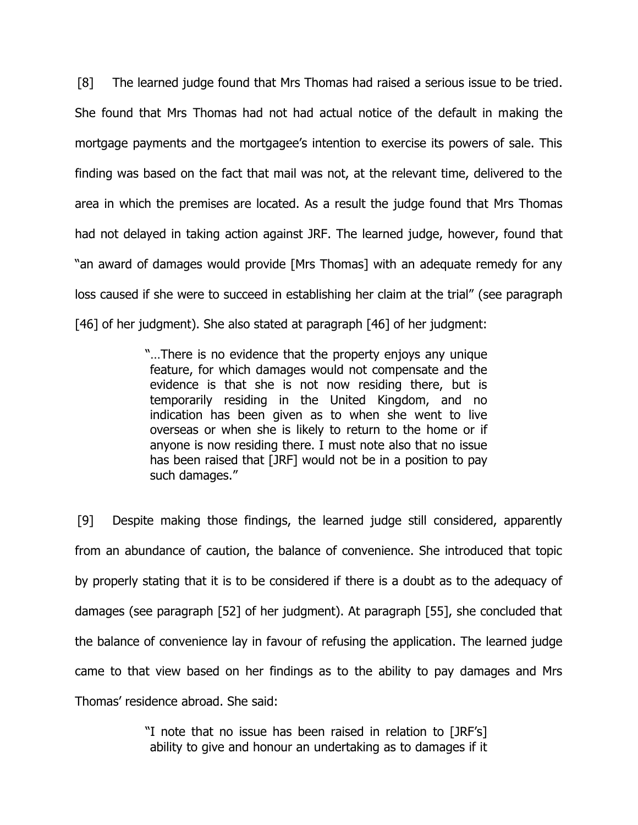[8] The learned judge found that Mrs Thomas had raised a serious issue to be tried. She found that Mrs Thomas had not had actual notice of the default in making the mortgage payments and the mortgagee's intention to exercise its powers of sale. This finding was based on the fact that mail was not, at the relevant time, delivered to the area in which the premises are located. As a result the judge found that Mrs Thomas had not delayed in taking action against JRF. The learned judge, however, found that "an award of damages would provide [Mrs Thomas] with an adequate remedy for any loss caused if she were to succeed in establishing her claim at the trial" (see paragraph [46] of her judgment). She also stated at paragraph [46] of her judgment:

> "…There is no evidence that the property enjoys any unique feature, for which damages would not compensate and the evidence is that she is not now residing there, but is temporarily residing in the United Kingdom, and no indication has been given as to when she went to live overseas or when she is likely to return to the home or if anyone is now residing there. I must note also that no issue has been raised that [JRF] would not be in a position to pay such damages."

[9] Despite making those findings, the learned judge still considered, apparently from an abundance of caution, the balance of convenience. She introduced that topic by properly stating that it is to be considered if there is a doubt as to the adequacy of damages (see paragraph [52] of her judgment). At paragraph [55], she concluded that the balance of convenience lay in favour of refusing the application. The learned judge came to that view based on her findings as to the ability to pay damages and Mrs Thomas' residence abroad. She said:

> "I note that no issue has been raised in relation to [JRF's] ability to give and honour an undertaking as to damages if it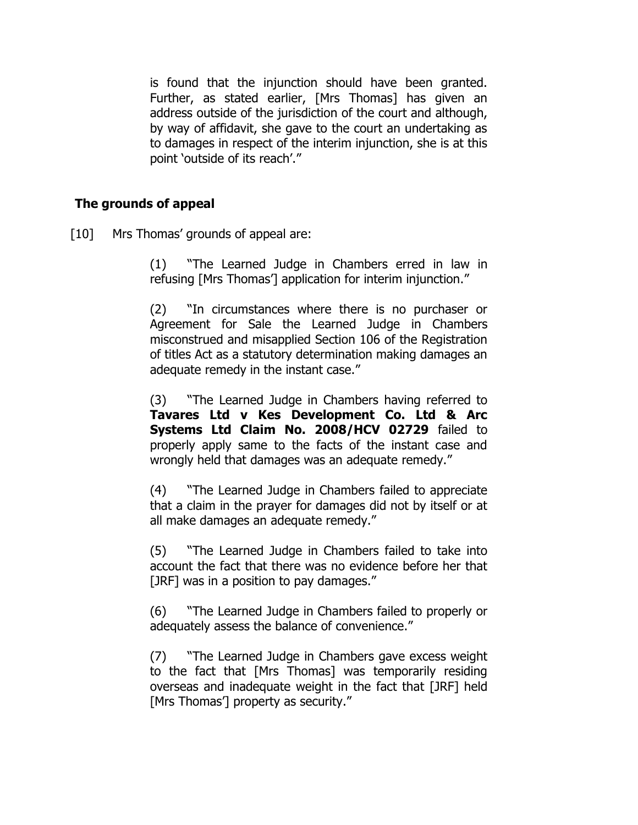is found that the injunction should have been granted. Further, as stated earlier, [Mrs Thomas] has given an address outside of the jurisdiction of the court and although, by way of affidavit, she gave to the court an undertaking as to damages in respect of the interim injunction, she is at this point 'outside of its reach'."

# **The grounds of appeal**

[10] Mrs Thomas' grounds of appeal are:

(1) "The Learned Judge in Chambers erred in law in refusing [Mrs Thomas'] application for interim injunction."

(2) "In circumstances where there is no purchaser or Agreement for Sale the Learned Judge in Chambers misconstrued and misapplied Section 106 of the Registration of titles Act as a statutory determination making damages an adequate remedy in the instant case."

(3) "The Learned Judge in Chambers having referred to **Tavares Ltd v Kes Development Co. Ltd & Arc Systems Ltd Claim No. 2008/HCV 02729** failed to properly apply same to the facts of the instant case and wrongly held that damages was an adequate remedy."

(4) "The Learned Judge in Chambers failed to appreciate that a claim in the prayer for damages did not by itself or at all make damages an adequate remedy."

(5) "The Learned Judge in Chambers failed to take into account the fact that there was no evidence before her that [JRF] was in a position to pay damages."

(6) "The Learned Judge in Chambers failed to properly or adequately assess the balance of convenience."

(7) "The Learned Judge in Chambers gave excess weight to the fact that [Mrs Thomas] was temporarily residing overseas and inadequate weight in the fact that [JRF] held [Mrs Thomas<sup>'</sup>] property as security."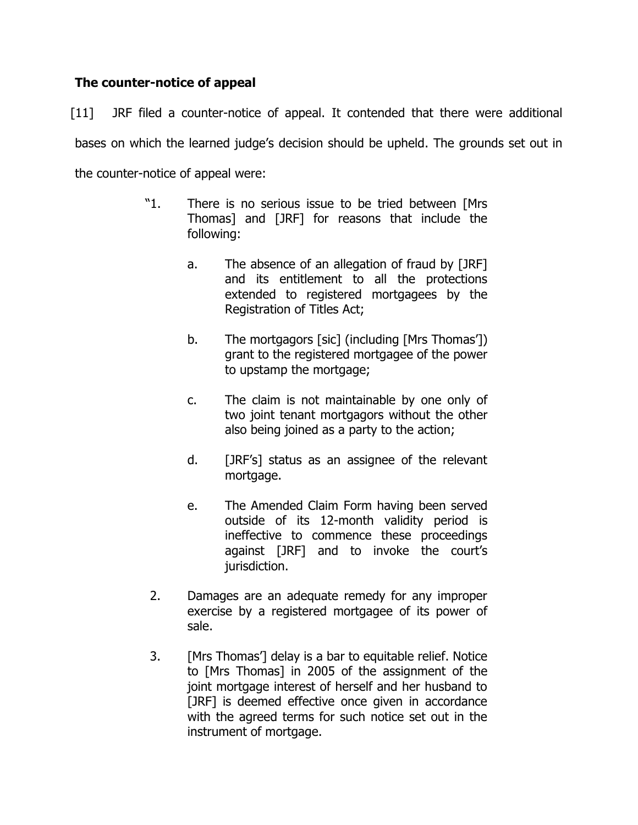# **The counter-notice of appeal**

[11] JRF filed a counter-notice of appeal. It contended that there were additional bases on which the learned judge's decision should be upheld. The grounds set out in the counter-notice of appeal were:

- "1. There is no serious issue to be tried between [Mrs Thomas] and [JRF] for reasons that include the following:
	- a. The absence of an allegation of fraud by [JRF] and its entitlement to all the protections extended to registered mortgagees by the Registration of Titles Act;
	- b. The mortgagors [sic] (including [Mrs Thomas']) grant to the registered mortgagee of the power to upstamp the mortgage;
	- c. The claim is not maintainable by one only of two joint tenant mortgagors without the other also being joined as a party to the action;
	- d. [JRF's] status as an assignee of the relevant mortgage.
	- e. The Amended Claim Form having been served outside of its 12-month validity period is ineffective to commence these proceedings against [JRF] and to invoke the court's jurisdiction.
- 2. Damages are an adequate remedy for any improper exercise by a registered mortgagee of its power of sale.
- 3. [Mrs Thomas'] delay is a bar to equitable relief. Notice to [Mrs Thomas] in 2005 of the assignment of the joint mortgage interest of herself and her husband to [JRF] is deemed effective once given in accordance with the agreed terms for such notice set out in the instrument of mortgage.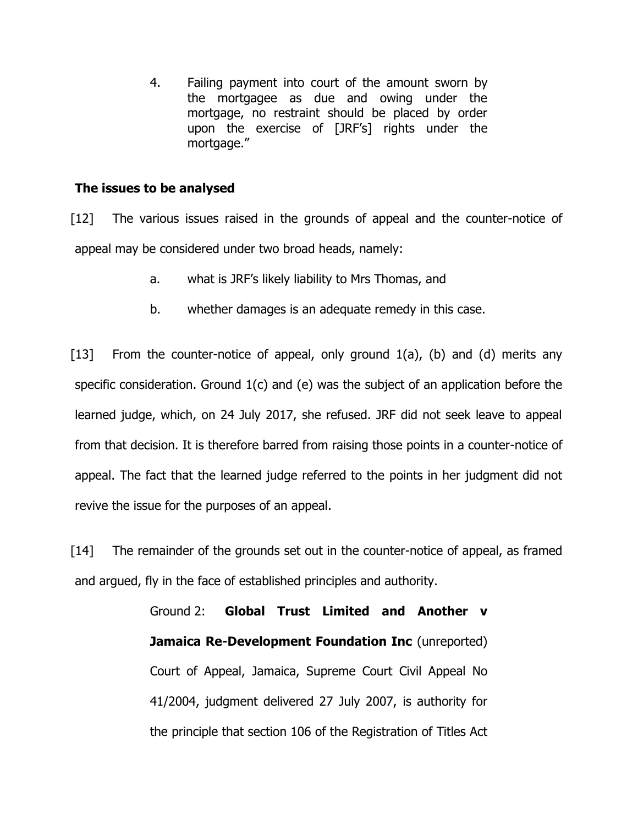4. Failing payment into court of the amount sworn by the mortgagee as due and owing under the mortgage, no restraint should be placed by order upon the exercise of [JRF's] rights under the mortgage."

## **The issues to be analysed**

[12] The various issues raised in the grounds of appeal and the counter-notice of appeal may be considered under two broad heads, namely:

- a. what is JRF's likely liability to Mrs Thomas, and
- b. whether damages is an adequate remedy in this case.

[13] From the counter-notice of appeal, only ground 1(a), (b) and (d) merits any specific consideration. Ground 1(c) and (e) was the subject of an application before the learned judge, which, on 24 July 2017, she refused. JRF did not seek leave to appeal from that decision. It is therefore barred from raising those points in a counter-notice of appeal. The fact that the learned judge referred to the points in her judgment did not revive the issue for the purposes of an appeal.

[14] The remainder of the grounds set out in the counter-notice of appeal, as framed and argued, fly in the face of established principles and authority.

> Ground 2: **Global Trust Limited and Another v Jamaica Re-Development Foundation Inc** (unreported) Court of Appeal, Jamaica, Supreme Court Civil Appeal No 41/2004, judgment delivered 27 July 2007, is authority for the principle that section 106 of the Registration of Titles Act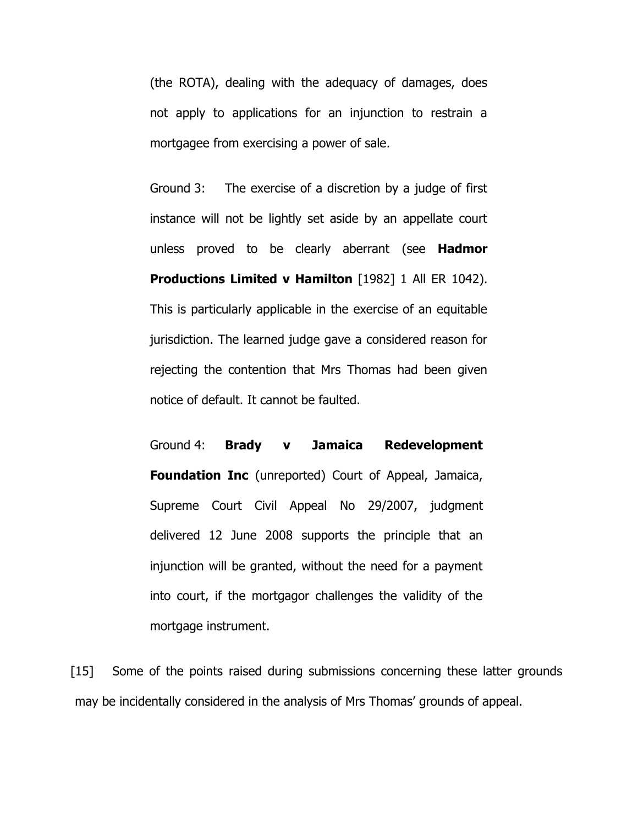(the ROTA), dealing with the adequacy of damages, does not apply to applications for an injunction to restrain a mortgagee from exercising a power of sale.

Ground 3: The exercise of a discretion by a judge of first instance will not be lightly set aside by an appellate court unless proved to be clearly aberrant (see **Hadmor Productions Limited v Hamilton** [1982] 1 All ER 1042). This is particularly applicable in the exercise of an equitable jurisdiction. The learned judge gave a considered reason for rejecting the contention that Mrs Thomas had been given notice of default. It cannot be faulted.

Ground 4: **Brady v Jamaica Redevelopment Foundation Inc** (unreported) Court of Appeal, Jamaica, Supreme Court Civil Appeal No 29/2007, judgment delivered 12 June 2008 supports the principle that an injunction will be granted, without the need for a payment into court, if the mortgagor challenges the validity of the mortgage instrument.

[15] Some of the points raised during submissions concerning these latter grounds may be incidentally considered in the analysis of Mrs Thomas' grounds of appeal.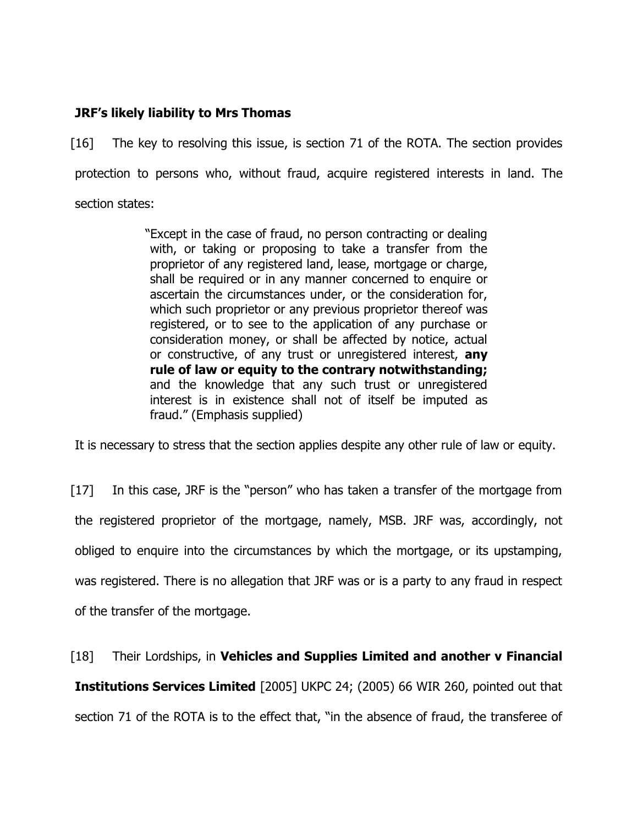## **JRF's likely liability to Mrs Thomas**

[16] The key to resolving this issue, is section 71 of the ROTA. The section provides protection to persons who, without fraud, acquire registered interests in land. The section states:

> "Except in the case of fraud, no person contracting or dealing with, or taking or proposing to take a transfer from the proprietor of any registered land, lease, mortgage or charge, shall be required or in any manner concerned to enquire or ascertain the circumstances under, or the consideration for, which such proprietor or any previous proprietor thereof was registered, or to see to the application of any purchase or consideration money, or shall be affected by notice, actual or constructive, of any trust or unregistered interest, **any rule of law or equity to the contrary notwithstanding;** and the knowledge that any such trust or unregistered interest is in existence shall not of itself be imputed as fraud." (Emphasis supplied)

It is necessary to stress that the section applies despite any other rule of law or equity.

[17] In this case, JRF is the "person" who has taken a transfer of the mortgage from the registered proprietor of the mortgage, namely, MSB. JRF was, accordingly, not obliged to enquire into the circumstances by which the mortgage, or its upstamping, was registered. There is no allegation that JRF was or is a party to any fraud in respect of the transfer of the mortgage.

[18] Their Lordships, in **Vehicles and Supplies Limited and another v Financial Institutions Services Limited** [2005] UKPC 24; (2005) 66 WIR 260, pointed out that section 71 of the ROTA is to the effect that, "in the absence of fraud, the transferee of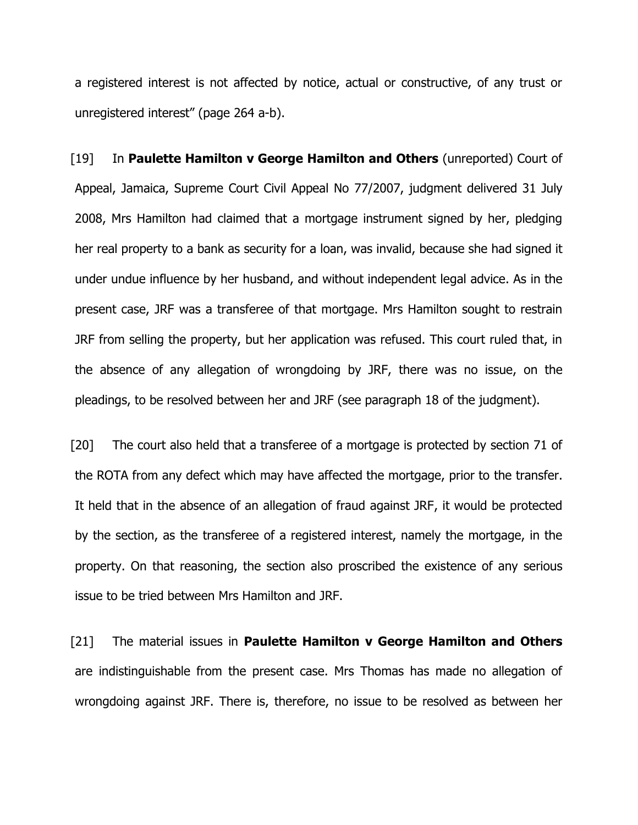a registered interest is not affected by notice, actual or constructive, of any trust or unregistered interest" (page 264 a-b).

[19] In **Paulette Hamilton v George Hamilton and Others** (unreported) Court of Appeal, Jamaica, Supreme Court Civil Appeal No 77/2007, judgment delivered 31 July 2008, Mrs Hamilton had claimed that a mortgage instrument signed by her, pledging her real property to a bank as security for a loan, was invalid, because she had signed it under undue influence by her husband, and without independent legal advice. As in the present case, JRF was a transferee of that mortgage. Mrs Hamilton sought to restrain JRF from selling the property, but her application was refused. This court ruled that, in the absence of any allegation of wrongdoing by JRF, there was no issue, on the pleadings, to be resolved between her and JRF (see paragraph 18 of the judgment).

[20] The court also held that a transferee of a mortgage is protected by section 71 of the ROTA from any defect which may have affected the mortgage, prior to the transfer. It held that in the absence of an allegation of fraud against JRF, it would be protected by the section, as the transferee of a registered interest, namely the mortgage, in the property. On that reasoning, the section also proscribed the existence of any serious issue to be tried between Mrs Hamilton and JRF.

[21] The material issues in **Paulette Hamilton v George Hamilton and Others**  are indistinguishable from the present case. Mrs Thomas has made no allegation of wrongdoing against JRF. There is, therefore, no issue to be resolved as between her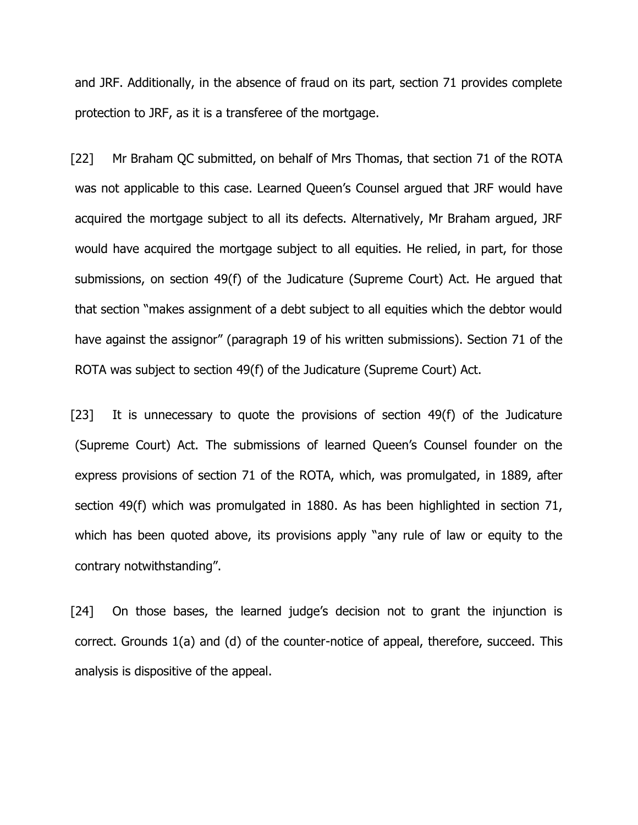and JRF. Additionally, in the absence of fraud on its part, section 71 provides complete protection to JRF, as it is a transferee of the mortgage.

[22] Mr Braham QC submitted, on behalf of Mrs Thomas, that section 71 of the ROTA was not applicable to this case. Learned Queen's Counsel argued that JRF would have acquired the mortgage subject to all its defects. Alternatively, Mr Braham argued, JRF would have acquired the mortgage subject to all equities. He relied, in part, for those submissions, on section 49(f) of the Judicature (Supreme Court) Act. He argued that that section "makes assignment of a debt subject to all equities which the debtor would have against the assignor" (paragraph 19 of his written submissions). Section 71 of the ROTA was subject to section 49(f) of the Judicature (Supreme Court) Act.

[23] It is unnecessary to quote the provisions of section 49(f) of the Judicature (Supreme Court) Act. The submissions of learned Queen's Counsel founder on the express provisions of section 71 of the ROTA, which, was promulgated, in 1889, after section 49(f) which was promulgated in 1880. As has been highlighted in section 71, which has been quoted above, its provisions apply "any rule of law or equity to the contrary notwithstanding".

[24] On those bases, the learned judge's decision not to grant the injunction is correct. Grounds 1(a) and (d) of the counter-notice of appeal, therefore, succeed. This analysis is dispositive of the appeal.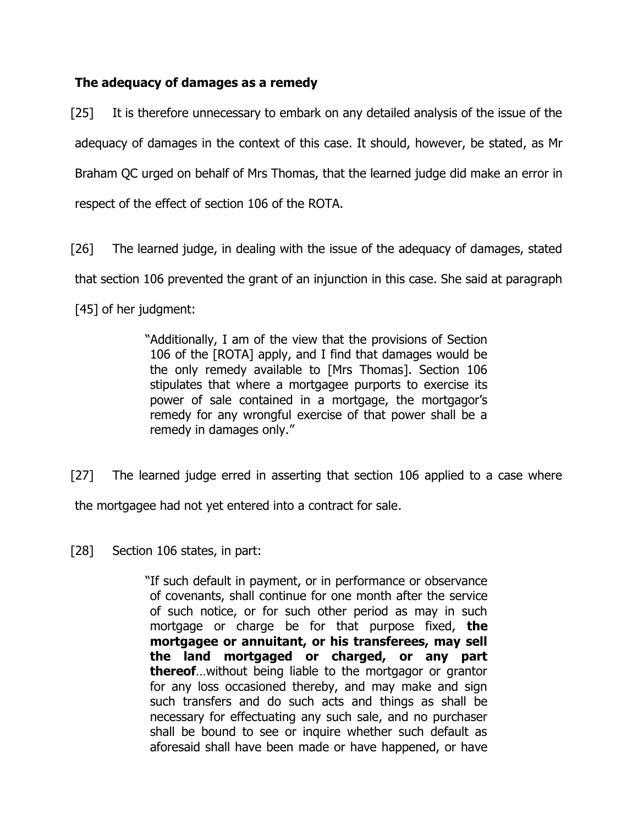# **The adequacy of damages as a remedy**

[25] It is therefore unnecessary to embark on any detailed analysis of the issue of the adequacy of damages in the context of this case. It should, however, be stated, as Mr Braham QC urged on behalf of Mrs Thomas, that the learned judge did make an error in respect of the effect of section 106 of the ROTA.

[26] The learned judge, in dealing with the issue of the adequacy of damages, stated that section 106 prevented the grant of an injunction in this case. She said at paragraph [45] of her judgment:

> "Additionally, I am of the view that the provisions of Section 106 of the [ROTA] apply, and I find that damages would be the only remedy available to [Mrs Thomas]. Section 106 stipulates that where a mortgagee purports to exercise its power of sale contained in a mortgage, the mortgagor's remedy for any wrongful exercise of that power shall be a remedy in damages only."

[27] The learned judge erred in asserting that section 106 applied to a case where the mortgagee had not yet entered into a contract for sale.

[28] Section 106 states, in part:

"If such default in payment, or in performance or observance of covenants, shall continue for one month after the service of such notice, or for such other period as may in such mortgage or charge be for that purpose fixed, **the mortgagee or annuitant, or his transferees, may sell the land mortgaged or charged, or any part thereof**…without being liable to the mortgagor or grantor for any loss occasioned thereby, and may make and sign such transfers and do such acts and things as shall be necessary for effectuating any such sale, and no purchaser shall be bound to see or inquire whether such default as aforesaid shall have been made or have happened, or have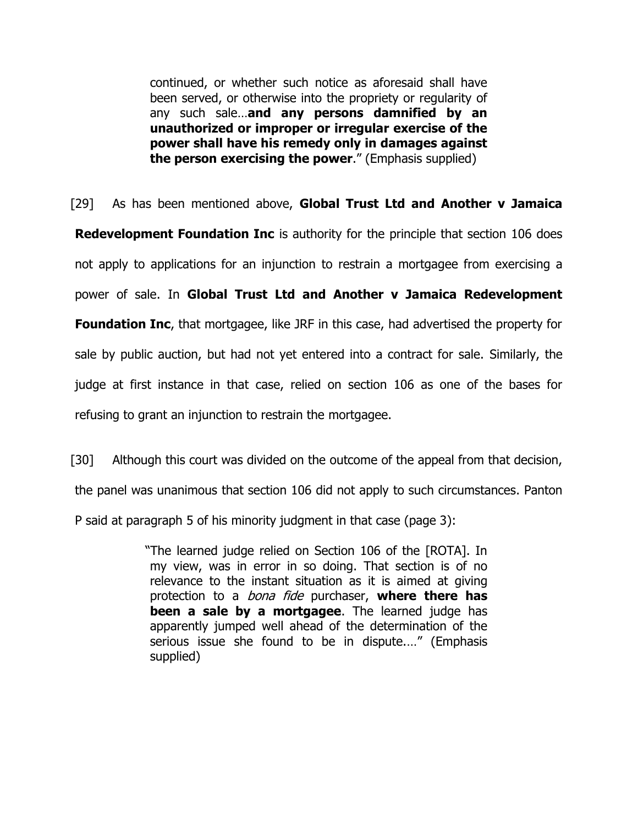continued, or whether such notice as aforesaid shall have been served, or otherwise into the propriety or regularity of any such sale…**and any persons damnified by an unauthorized or improper or irregular exercise of the power shall have his remedy only in damages against the person exercising the power**." (Emphasis supplied)

[29] As has been mentioned above, **Global Trust Ltd and Another v Jamaica Redevelopment Foundation Inc** is authority for the principle that section 106 does not apply to applications for an injunction to restrain a mortgagee from exercising a power of sale. In **Global Trust Ltd and Another v Jamaica Redevelopment Foundation Inc,** that mortgagee, like JRF in this case, had advertised the property for sale by public auction, but had not yet entered into a contract for sale. Similarly, the judge at first instance in that case, relied on section 106 as one of the bases for refusing to grant an injunction to restrain the mortgagee.

[30] Although this court was divided on the outcome of the appeal from that decision,

the panel was unanimous that section 106 did not apply to such circumstances. Panton

P said at paragraph 5 of his minority judgment in that case (page 3):

"The learned judge relied on Section 106 of the [ROTA]. In my view, was in error in so doing. That section is of no relevance to the instant situation as it is aimed at giving protection to a bona fide purchaser, **where there has been a sale by a mortgagee**. The learned judge has apparently jumped well ahead of the determination of the serious issue she found to be in dispute.…" (Emphasis supplied)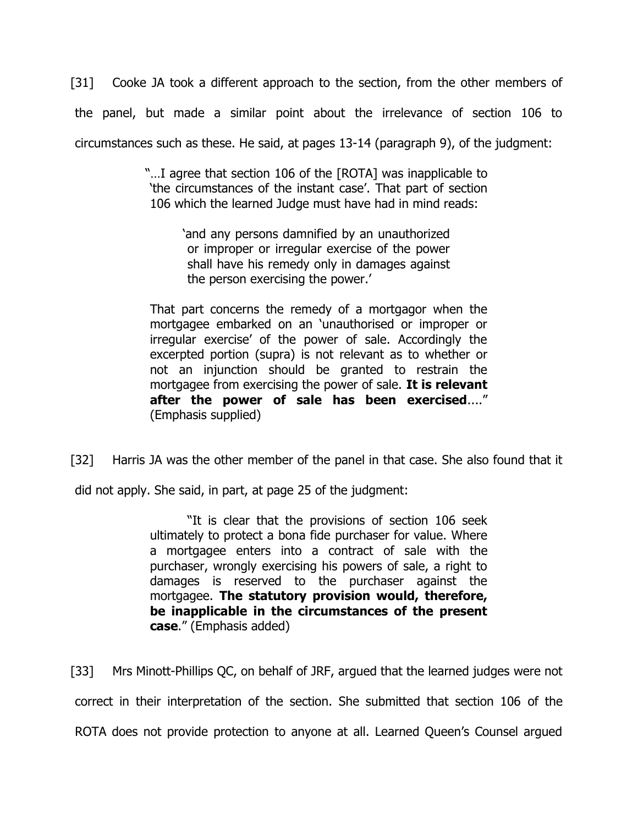[31] Cooke JA took a different approach to the section, from the other members of the panel, but made a similar point about the irrelevance of section 106 to circumstances such as these. He said, at pages 13-14 (paragraph 9), of the judgment:

> "…I agree that section 106 of the [ROTA] was inapplicable to 'the circumstances of the instant case'. That part of section 106 which the learned Judge must have had in mind reads:

> > 'and any persons damnified by an unauthorized or improper or irregular exercise of the power shall have his remedy only in damages against the person exercising the power.'

That part concerns the remedy of a mortgagor when the mortgagee embarked on an 'unauthorised or improper or irregular exercise' of the power of sale. Accordingly the excerpted portion (supra) is not relevant as to whether or not an injunction should be granted to restrain the mortgagee from exercising the power of sale. **It is relevant after the power of sale has been exercised**...." (Emphasis supplied)

[32] Harris JA was the other member of the panel in that case. She also found that it

did not apply. She said, in part, at page 25 of the judgment:

"It is clear that the provisions of section 106 seek ultimately to protect a bona fide purchaser for value. Where a mortgagee enters into a contract of sale with the purchaser, wrongly exercising his powers of sale, a right to damages is reserved to the purchaser against the mortgagee. **The statutory provision would, therefore, be inapplicable in the circumstances of the present case**." (Emphasis added)

[33] Mrs Minott-Phillips QC, on behalf of JRF, argued that the learned judges were not correct in their interpretation of the section. She submitted that section 106 of the ROTA does not provide protection to anyone at all. Learned Queen's Counsel argued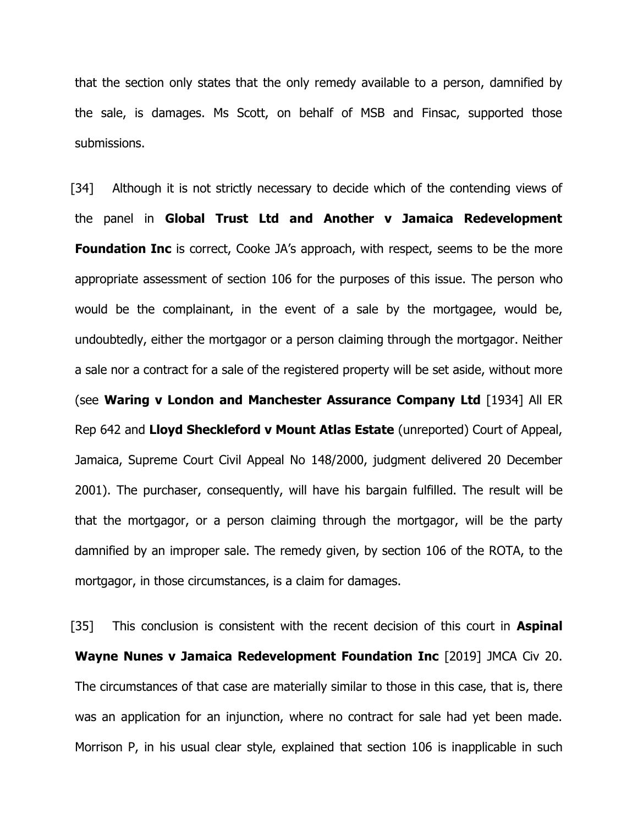that the section only states that the only remedy available to a person, damnified by the sale, is damages. Ms Scott, on behalf of MSB and Finsac, supported those submissions.

[34] Although it is not strictly necessary to decide which of the contending views of the panel in **Global Trust Ltd and Another v Jamaica Redevelopment Foundation Inc** is correct, Cooke JA's approach, with respect, seems to be the more appropriate assessment of section 106 for the purposes of this issue. The person who would be the complainant, in the event of a sale by the mortgagee, would be, undoubtedly, either the mortgagor or a person claiming through the mortgagor. Neither a sale nor a contract for a sale of the registered property will be set aside, without more (see **Waring v London and Manchester Assurance Company Ltd** [1934] All ER Rep 642 and **Lloyd Sheckleford v Mount Atlas Estate** (unreported) Court of Appeal, Jamaica, Supreme Court Civil Appeal No 148/2000, judgment delivered 20 December 2001). The purchaser, consequently, will have his bargain fulfilled. The result will be that the mortgagor, or a person claiming through the mortgagor, will be the party damnified by an improper sale. The remedy given, by section 106 of the ROTA, to the mortgagor, in those circumstances, is a claim for damages.

[35] This conclusion is consistent with the recent decision of this court in **Aspinal Wayne Nunes v Jamaica Redevelopment Foundation Inc** [2019] JMCA Civ 20. The circumstances of that case are materially similar to those in this case, that is, there was an application for an injunction, where no contract for sale had yet been made. Morrison P, in his usual clear style, explained that section 106 is inapplicable in such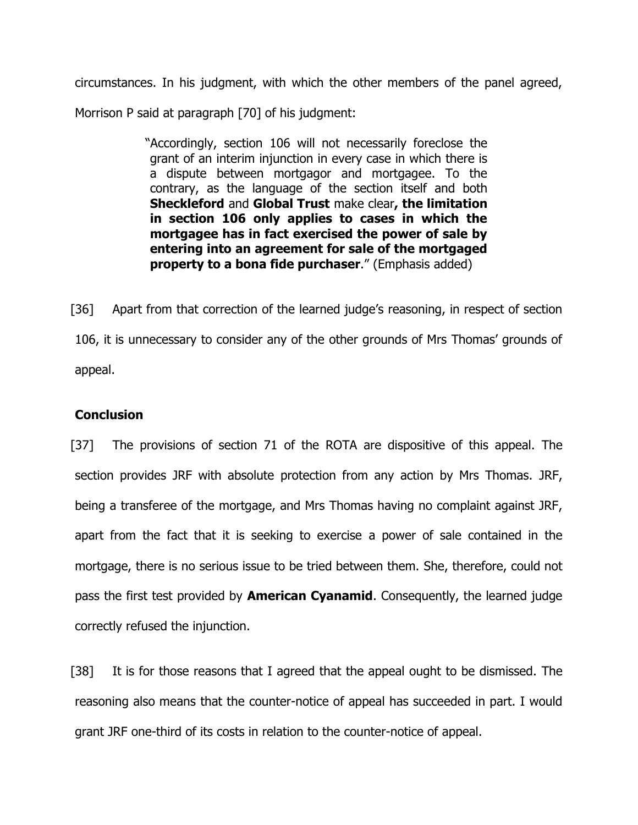circumstances. In his judgment, with which the other members of the panel agreed, Morrison P said at paragraph [70] of his judgment:

> "Accordingly, section 106 will not necessarily foreclose the grant of an interim injunction in every case in which there is a dispute between mortgagor and mortgagee. To the contrary, as the language of the section itself and both **Sheckleford** and **Global Trust** make clear**, the limitation in section 106 only applies to cases in which the mortgagee has in fact exercised the power of sale by entering into an agreement for sale of the mortgaged property to a bona fide purchaser**." (Emphasis added)

[36] Apart from that correction of the learned judge's reasoning, in respect of section 106, it is unnecessary to consider any of the other grounds of Mrs Thomas' grounds of appeal.

# **Conclusion**

[37] The provisions of section 71 of the ROTA are dispositive of this appeal. The section provides JRF with absolute protection from any action by Mrs Thomas. JRF, being a transferee of the mortgage, and Mrs Thomas having no complaint against JRF, apart from the fact that it is seeking to exercise a power of sale contained in the mortgage, there is no serious issue to be tried between them. She, therefore, could not pass the first test provided by **American Cyanamid**. Consequently, the learned judge correctly refused the injunction.

[38] It is for those reasons that I agreed that the appeal ought to be dismissed. The reasoning also means that the counter-notice of appeal has succeeded in part. I would grant JRF one-third of its costs in relation to the counter-notice of appeal.